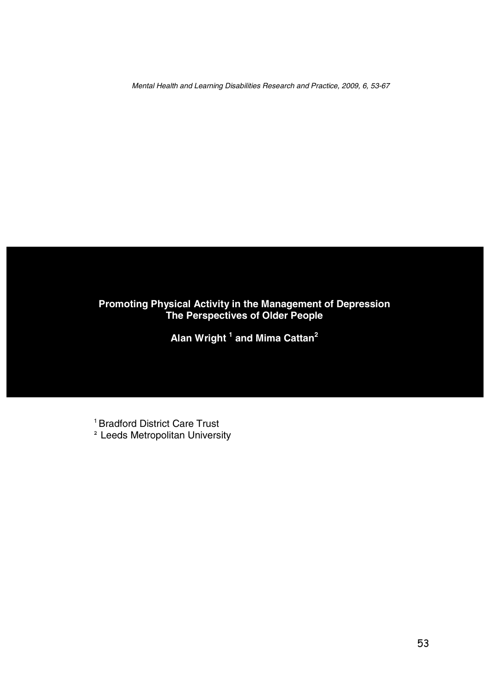Mental Health and Learning Disabilities Research and Practice, 2009, 6, 53-67

# **Promoting Physical Activity in the Management of Depression The Perspectives of Older People**

**Alan Wright 1 and Mima Cattan2** 

<sup>1</sup> Bradford District Care Trust

**<sup>2</sup>**Leeds Metropolitan University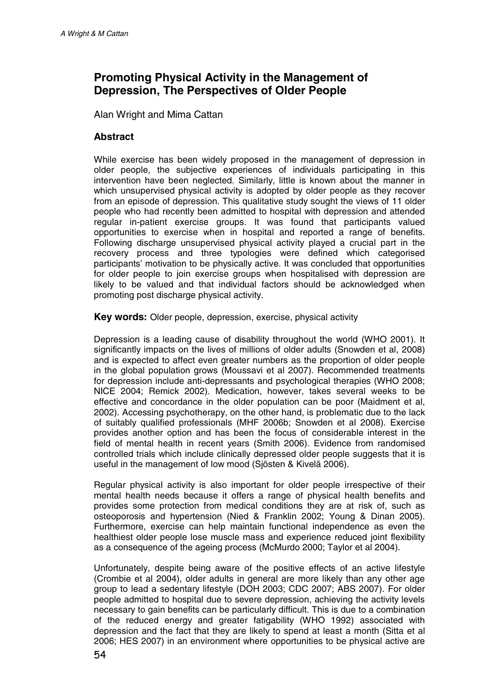# **Promoting Physical Activity in the Management of Depression, The Perspectives of Older People**

Alan Wright and Mima Cattan

### **Abstract**

While exercise has been widely proposed in the management of depression in older people, the subjective experiences of individuals participating in this intervention have been neglected. Similarly, little is known about the manner in which unsupervised physical activity is adopted by older people as they recover from an episode of depression. This qualitative study sought the views of 11 older people who had recently been admitted to hospital with depression and attended regular in-patient exercise groups. It was found that participants valued opportunities to exercise when in hospital and reported a range of benefits. Following discharge unsupervised physical activity played a crucial part in the recovery process and three typologies were defined which categorised participants' motivation to be physically active. It was concluded that opportunities for older people to join exercise groups when hospitalised with depression are likely to be valued and that individual factors should be acknowledged when promoting post discharge physical activity.

**Key words:** Older people, depression, exercise, physical activity

Depression is a leading cause of disability throughout the world (WHO 2001). It significantly impacts on the lives of millions of older adults (Snowden et al, 2008) and is expected to affect even greater numbers as the proportion of older people in the global population grows (Moussavi et al 2007). Recommended treatments for depression include anti-depressants and psychological therapies (WHO 2008; NICE 2004; Remick 2002). Medication, however, takes several weeks to be effective and concordance in the older population can be poor (Maidment et al, 2002). Accessing psychotherapy, on the other hand, is problematic due to the lack of suitably qualified professionals (MHF 2006b; Snowden et al 2008). Exercise provides another option and has been the focus of considerable interest in the field of mental health in recent years (Smith 2006). Evidence from randomised controlled trials which include clinically depressed older people suggests that it is useful in the management of low mood (Sjösten & Kivelä 2006).

Regular physical activity is also important for older people irrespective of their mental health needs because it offers a range of physical health benefits and provides some protection from medical conditions they are at risk of, such as osteoporosis and hypertension (Nied & Franklin 2002; Young & Dinan 2005). Furthermore, exercise can help maintain functional independence as even the healthiest older people lose muscle mass and experience reduced joint flexibility as a consequence of the ageing process (McMurdo 2000; Taylor et al 2004).

Unfortunately, despite being aware of the positive effects of an active lifestyle (Crombie et al 2004), older adults in general are more likely than any other age group to lead a sedentary lifestyle (DOH 2003; CDC 2007; ABS 2007). For older people admitted to hospital due to severe depression, achieving the activity levels necessary to gain benefits can be particularly difficult. This is due to a combination of the reduced energy and greater fatigability (WHO 1992) associated with depression and the fact that they are likely to spend at least a month (Sitta et al 2006; HES 2007) in an environment where opportunities to be physical active are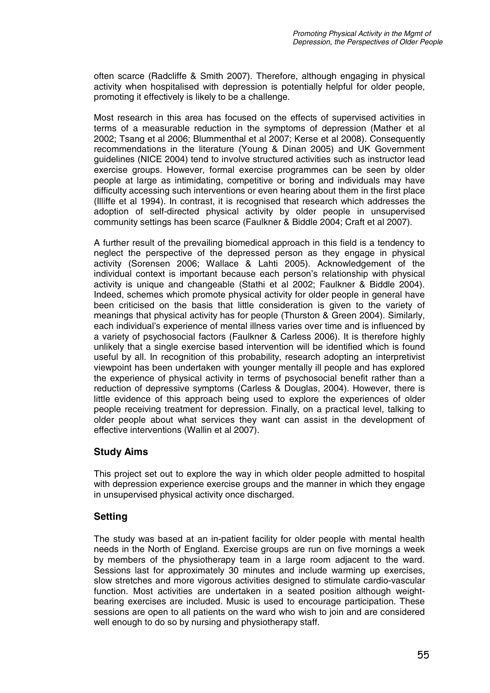often scarce (Radcliffe & Smith 2007). Therefore, although engaging in physical activity when hospitalised with depression is potentially helpful for older people, promoting it effectively is likely to be a challenge.

Most research in this area has focused on the effects of supervised activities in terms of a measurable reduction in the symptoms of depression (Mather et al 2002; Tsang et al 2006; Blummenthal et al 2007; Kerse et al 2008). Consequently recommendations in the literature (Young & Dinan 2005) and UK Government guidelines (NICE 2004) tend to involve structured activities such as instructor lead exercise groups. However, formal exercise programmes can be seen by older people at large as intimidating, competitive or boring and individuals may have difficulty accessing such interventions or even hearing about them in the first place (Illiffe et al 1994). In contrast, it is recognised that research which addresses the adoption of self-directed physical activity by older people in unsupervised community settings has been scarce (Faulkner & Biddle 2004; Craft et al 2007).

A further result of the prevailing biomedical approach in this field is a tendency to neglect the perspective of the depressed person as they engage in physical activity (Sorensen 2006; Wallace & Lahti 2005). Acknowledgement of the individual context is important because each person's relationship with physical activity is unique and changeable (Stathi et al 2002; Faulkner & Biddle 2004). Indeed, schemes which promote physical activity for older people in general have been criticised on the basis that little consideration is given to the variety of meanings that physical activity has for people (Thurston & Green 2004). Similarly, each individual's experience of mental illness varies over time and is influenced by a variety of psychosocial factors (Faulkner & Carless 2006). It is therefore highly unlikely that a single exercise based intervention will be identified which is found useful by all. In recognition of this probability, research adopting an interpretivist viewpoint has been undertaken with younger mentally ill people and has explored the experience of physical activity in terms of psychosocial benefit rather than a reduction of depressive symptoms (Carless & Douglas, 2004). However, there is little evidence of this approach being used to explore the experiences of older people receiving treatment for depression. Finally, on a practical level, talking to older people about what services they want can assist in the development of effective interventions (Wallin et al 2007).

### **Study Aims**

This project set out to explore the way in which older people admitted to hospital with depression experience exercise groups and the manner in which they engage in unsupervised physical activity once discharged.

### **Setting**

The study was based at an in-patient facility for older people with mental health needs in the North of England. Exercise groups are run on five mornings a week by members of the physiotherapy team in a large room adjacent to the ward. Sessions last for approximately 30 minutes and include warming up exercises, slow stretches and more vigorous activities designed to stimulate cardio-vascular function. Most activities are undertaken in a seated position although weightbearing exercises are included. Music is used to encourage participation. These sessions are open to all patients on the ward who wish to join and are considered well enough to do so by nursing and physiotherapy staff.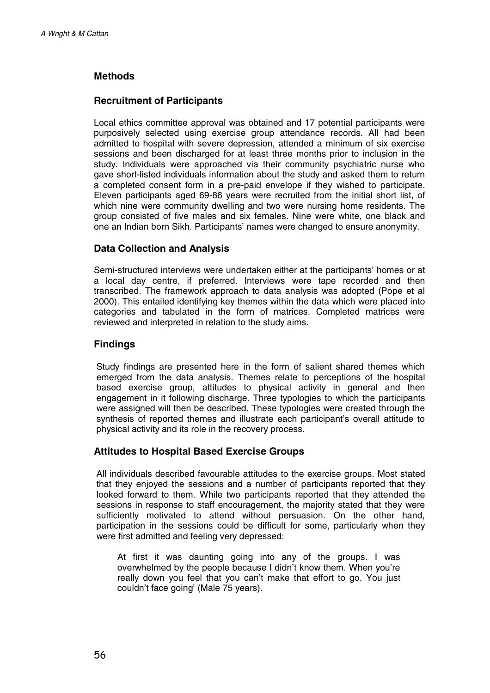# **Methods**

### **Recruitment of Participants**

Local ethics committee approval was obtained and 17 potential participants were purposively selected using exercise group attendance records. All had been admitted to hospital with severe depression, attended a minimum of six exercise sessions and been discharged for at least three months prior to inclusion in the study. Individuals were approached via their community psychiatric nurse who gave short-listed individuals information about the study and asked them to return a completed consent form in a pre-paid envelope if they wished to participate. Eleven participants aged 69-86 years were recruited from the initial short list, of which nine were community dwelling and two were nursing home residents. The group consisted of five males and six females. Nine were white, one black and one an Indian born Sikh. Participants' names were changed to ensure anonymity.

### **Data Collection and Analysis**

Semi-structured interviews were undertaken either at the participants' homes or at a local day centre, if preferred. Interviews were tape recorded and then transcribed. The framework approach to data analysis was adopted (Pope et al 2000). This entailed identifying key themes within the data which were placed into categories and tabulated in the form of matrices. Completed matrices were reviewed and interpreted in relation to the study aims.

#### **Findings**

Study findings are presented here in the form of salient shared themes which emerged from the data analysis. Themes relate to perceptions of the hospital based exercise group, attitudes to physical activity in general and then engagement in it following discharge. Three typologies to which the participants were assigned will then be described. These typologies were created through the synthesis of reported themes and illustrate each participant's overall attitude to physical activity and its role in the recovery process.

#### **Attitudes to Hospital Based Exercise Groups**

All individuals described favourable attitudes to the exercise groups. Most stated that they enjoyed the sessions and a number of participants reported that they looked forward to them. While two participants reported that they attended the sessions in response to staff encouragement, the majority stated that they were sufficiently motivated to attend without persuasion. On the other hand, participation in the sessions could be difficult for some, particularly when they were first admitted and feeling very depressed:

At first it was daunting going into any of the groups. I was overwhelmed by the people because I didn't know them. When you're really down you feel that you can't make that effort to go. You just couldn't face going' (Male 75 years).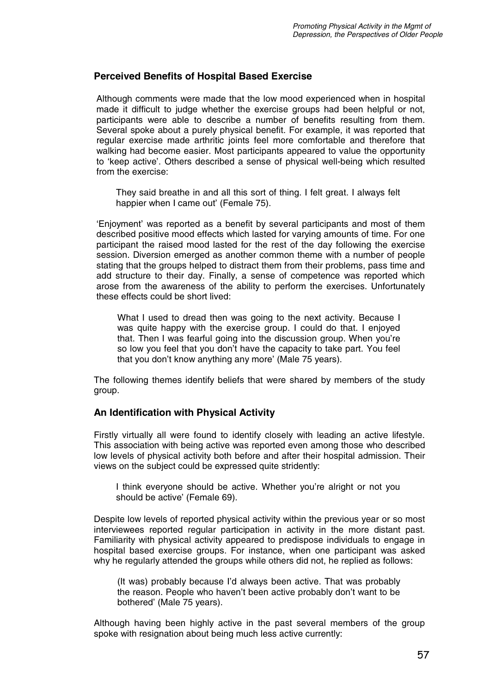#### **Perceived Benefits of Hospital Based Exercise**

Although comments were made that the low mood experienced when in hospital made it difficult to judge whether the exercise groups had been helpful or not, participants were able to describe a number of benefits resulting from them. Several spoke about a purely physical benefit. For example, it was reported that regular exercise made arthritic joints feel more comfortable and therefore that walking had become easier. Most participants appeared to value the opportunity to 'keep active'. Others described a sense of physical well-being which resulted from the exercise:

They said breathe in and all this sort of thing. I felt great. I always felt happier when I came out' (Female 75).

'Enjoyment' was reported as a benefit by several participants and most of them described positive mood effects which lasted for varying amounts of time. For one participant the raised mood lasted for the rest of the day following the exercise session. Diversion emerged as another common theme with a number of people stating that the groups helped to distract them from their problems, pass time and add structure to their day. Finally, a sense of competence was reported which arose from the awareness of the ability to perform the exercises. Unfortunately these effects could be short lived:

What I used to dread then was going to the next activity. Because I was quite happy with the exercise group. I could do that. I enjoyed that. Then I was fearful going into the discussion group. When you're so low you feel that you don't have the capacity to take part. You feel that you don't know anything any more' (Male 75 years).

The following themes identify beliefs that were shared by members of the study group.

#### **An Identification with Physical Activity**

Firstly virtually all were found to identify closely with leading an active lifestyle. This association with being active was reported even among those who described low levels of physical activity both before and after their hospital admission. Their views on the subject could be expressed quite stridently:

I think everyone should be active. Whether you're alright or not you should be active' (Female 69).

Despite low levels of reported physical activity within the previous year or so most interviewees reported regular participation in activity in the more distant past. Familiarity with physical activity appeared to predispose individuals to engage in hospital based exercise groups. For instance, when one participant was asked why he regularly attended the groups while others did not, he replied as follows:

(It was) probably because I'd always been active. That was probably the reason. People who haven't been active probably don't want to be bothered' (Male 75 years).

Although having been highly active in the past several members of the group spoke with resignation about being much less active currently: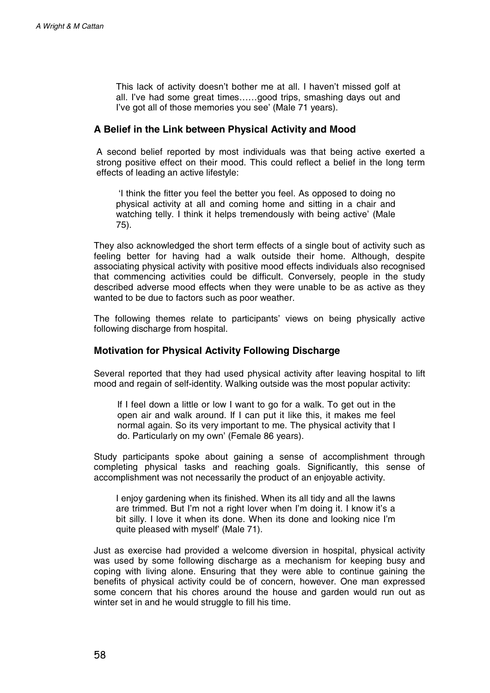This lack of activity doesn't bother me at all. I haven't missed golf at all. I've had some great times……good trips, smashing days out and I've got all of those memories you see' (Male 71 years).

#### **A Belief in the Link between Physical Activity and Mood**

A second belief reported by most individuals was that being active exerted a strong positive effect on their mood. This could reflect a belief in the long term effects of leading an active lifestyle:

'I think the fitter you feel the better you feel. As opposed to doing no physical activity at all and coming home and sitting in a chair and watching telly. I think it helps tremendously with being active' (Male 75).

They also acknowledged the short term effects of a single bout of activity such as feeling better for having had a walk outside their home. Although, despite associating physical activity with positive mood effects individuals also recognised that commencing activities could be difficult. Conversely, people in the study described adverse mood effects when they were unable to be as active as they wanted to be due to factors such as poor weather.

The following themes relate to participants' views on being physically active following discharge from hospital.

#### **Motivation for Physical Activity Following Discharge**

Several reported that they had used physical activity after leaving hospital to lift mood and regain of self-identity. Walking outside was the most popular activity:

If I feel down a little or low I want to go for a walk. To get out in the open air and walk around. If I can put it like this, it makes me feel normal again. So its very important to me. The physical activity that I do. Particularly on my own' (Female 86 years).

Study participants spoke about gaining a sense of accomplishment through completing physical tasks and reaching goals. Significantly, this sense of accomplishment was not necessarily the product of an enjoyable activity.

I enjoy gardening when its finished. When its all tidy and all the lawns are trimmed. But I'm not a right lover when I'm doing it. I know it's a bit silly. I love it when its done. When its done and looking nice I'm quite pleased with myself' (Male 71).

Just as exercise had provided a welcome diversion in hospital, physical activity was used by some following discharge as a mechanism for keeping busy and coping with living alone. Ensuring that they were able to continue gaining the benefits of physical activity could be of concern, however. One man expressed some concern that his chores around the house and garden would run out as winter set in and he would struggle to fill his time.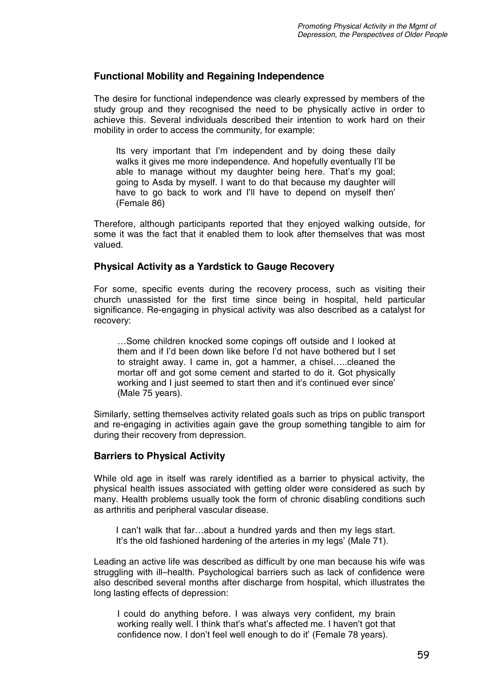#### **Functional Mobility and Regaining Independence**

The desire for functional independence was clearly expressed by members of the study group and they recognised the need to be physically active in order to achieve this. Several individuals described their intention to work hard on their mobility in order to access the community, for example:

Its very important that I'm independent and by doing these daily walks it gives me more independence. And hopefully eventually I'll be able to manage without my daughter being here. That's my goal; going to Asda by myself. I want to do that because my daughter will have to go back to work and I'll have to depend on myself then' (Female 86)

Therefore, although participants reported that they enjoyed walking outside, for some it was the fact that it enabled them to look after themselves that was most valued.

#### **Physical Activity as a Yardstick to Gauge Recovery**

For some, specific events during the recovery process, such as visiting their church unassisted for the first time since being in hospital, held particular significance. Re-engaging in physical activity was also described as a catalyst for recovery:

…Some children knocked some copings off outside and I looked at them and if I'd been down like before I'd not have bothered but I set to straight away. I came in, got a hammer, a chisel…..cleaned the mortar off and got some cement and started to do it. Got physically working and I just seemed to start then and it's continued ever since' (Male 75 years).

Similarly, setting themselves activity related goals such as trips on public transport and re-engaging in activities again gave the group something tangible to aim for during their recovery from depression.

#### **Barriers to Physical Activity**

While old age in itself was rarely identified as a barrier to physical activity, the physical health issues associated with getting older were considered as such by many. Health problems usually took the form of chronic disabling conditions such as arthritis and peripheral vascular disease.

I can't walk that far…about a hundred yards and then my legs start. It's the old fashioned hardening of the arteries in my legs' (Male 71).

Leading an active life was described as difficult by one man because his wife was struggling with ill–health. Psychological barriers such as lack of confidence were also described several months after discharge from hospital, which illustrates the long lasting effects of depression:

I could do anything before. I was always very confident, my brain working really well. I think that's what's affected me. I haven't got that confidence now. I don't feel well enough to do it' (Female 78 years).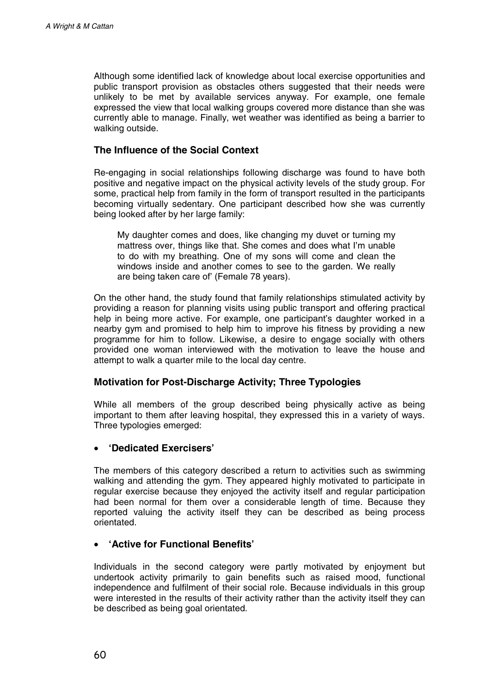Although some identified lack of knowledge about local exercise opportunities and public transport provision as obstacles others suggested that their needs were unlikely to be met by available services anyway. For example, one female expressed the view that local walking groups covered more distance than she was currently able to manage. Finally, wet weather was identified as being a barrier to walking outside.

### **The Influence of the Social Context**

Re-engaging in social relationships following discharge was found to have both positive and negative impact on the physical activity levels of the study group. For some, practical help from family in the form of transport resulted in the participants becoming virtually sedentary. One participant described how she was currently being looked after by her large family:

My daughter comes and does, like changing my duvet or turning my mattress over, things like that. She comes and does what I'm unable to do with my breathing. One of my sons will come and clean the windows inside and another comes to see to the garden. We really are being taken care of' (Female 78 years).

On the other hand, the study found that family relationships stimulated activity by providing a reason for planning visits using public transport and offering practical help in being more active. For example, one participant's daughter worked in a nearby gym and promised to help him to improve his fitness by providing a new programme for him to follow. Likewise, a desire to engage socially with others provided one woman interviewed with the motivation to leave the house and attempt to walk a quarter mile to the local day centre.

### **Motivation for Post-Discharge Activity; Three Typologies**

While all members of the group described being physically active as being important to them after leaving hospital, they expressed this in a variety of ways. Three typologies emerged:

#### • **'Dedicated Exercisers'**

The members of this category described a return to activities such as swimming walking and attending the gym. They appeared highly motivated to participate in regular exercise because they enjoyed the activity itself and regular participation had been normal for them over a considerable length of time. Because they reported valuing the activity itself they can be described as being process orientated.

### • **'Active for Functional Benefits'**

Individuals in the second category were partly motivated by enjoyment but undertook activity primarily to gain benefits such as raised mood, functional independence and fulfilment of their social role. Because individuals in this group were interested in the results of their activity rather than the activity itself they can be described as being goal orientated.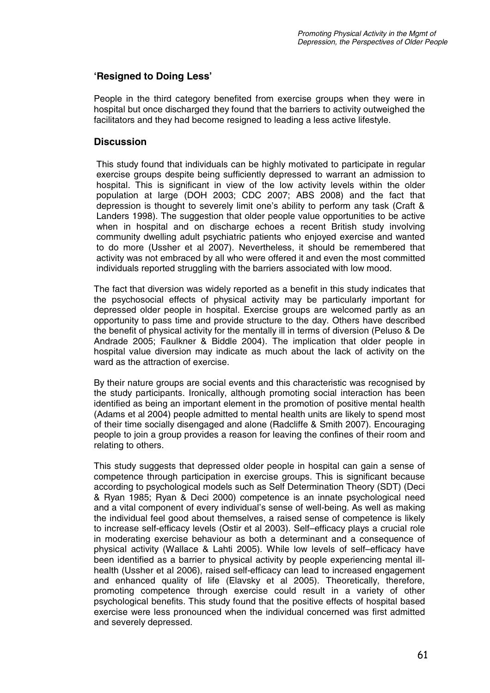# **'Resigned to Doing Less'**

People in the third category benefited from exercise groups when they were in hospital but once discharged they found that the barriers to activity outweighed the facilitators and they had become resigned to leading a less active lifestyle.

### **Discussion**

This study found that individuals can be highly motivated to participate in regular exercise groups despite being sufficiently depressed to warrant an admission to hospital. This is significant in view of the low activity levels within the older population at large (DOH 2003; CDC 2007; ABS 2008) and the fact that depression is thought to severely limit one's ability to perform any task (Craft & Landers 1998). The suggestion that older people value opportunities to be active when in hospital and on discharge echoes a recent British study involving community dwelling adult psychiatric patients who enjoyed exercise and wanted to do more (Ussher et al 2007). Nevertheless, it should be remembered that activity was not embraced by all who were offered it and even the most committed individuals reported struggling with the barriers associated with low mood.

The fact that diversion was widely reported as a benefit in this study indicates that the psychosocial effects of physical activity may be particularly important for depressed older people in hospital. Exercise groups are welcomed partly as an opportunity to pass time and provide structure to the day. Others have described the benefit of physical activity for the mentally ill in terms of diversion (Peluso & De Andrade 2005; Faulkner & Biddle 2004). The implication that older people in hospital value diversion may indicate as much about the lack of activity on the ward as the attraction of exercise.

By their nature groups are social events and this characteristic was recognised by the study participants. Ironically, although promoting social interaction has been identified as being an important element in the promotion of positive mental health (Adams et al 2004) people admitted to mental health units are likely to spend most of their time socially disengaged and alone (Radcliffe & Smith 2007). Encouraging people to join a group provides a reason for leaving the confines of their room and relating to others.

This study suggests that depressed older people in hospital can gain a sense of competence through participation in exercise groups. This is significant because according to psychological models such as Self Determination Theory (SDT) (Deci & Ryan 1985; Ryan & Deci 2000) competence is an innate psychological need and a vital component of every individual's sense of well-being. As well as making the individual feel good about themselves, a raised sense of competence is likely to increase self-efficacy levels (Ostir et al 2003). Self–efficacy plays a crucial role in moderating exercise behaviour as both a determinant and a consequence of physical activity (Wallace & Lahti 2005). While low levels of self–efficacy have been identified as a barrier to physical activity by people experiencing mental illhealth (Ussher et al 2006), raised self-efficacy can lead to increased engagement and enhanced quality of life (Elavsky et al 2005). Theoretically, therefore, promoting competence through exercise could result in a variety of other psychological benefits. This study found that the positive effects of hospital based exercise were less pronounced when the individual concerned was first admitted and severely depressed.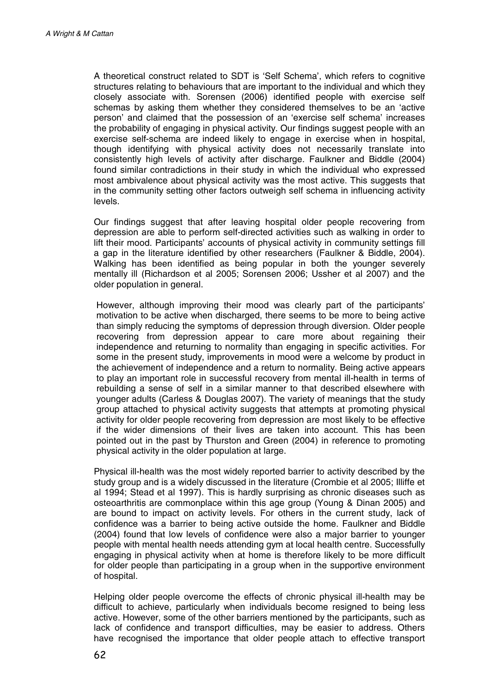A theoretical construct related to SDT is 'Self Schema', which refers to cognitive structures relating to behaviours that are important to the individual and which they closely associate with. Sorensen (2006) identified people with exercise self schemas by asking them whether they considered themselves to be an 'active person' and claimed that the possession of an 'exercise self schema' increases the probability of engaging in physical activity. Our findings suggest people with an exercise self-schema are indeed likely to engage in exercise when in hospital, though identifying with physical activity does not necessarily translate into consistently high levels of activity after discharge. Faulkner and Biddle (2004) found similar contradictions in their study in which the individual who expressed most ambivalence about physical activity was the most active. This suggests that in the community setting other factors outweigh self schema in influencing activity levels.

Our findings suggest that after leaving hospital older people recovering from depression are able to perform self-directed activities such as walking in order to lift their mood. Participants' accounts of physical activity in community settings fill a gap in the literature identified by other researchers (Faulkner & Biddle, 2004). Walking has been identified as being popular in both the younger severely mentally ill (Richardson et al 2005; Sorensen 2006; Ussher et al 2007) and the older population in general.

However, although improving their mood was clearly part of the participants' motivation to be active when discharged, there seems to be more to being active than simply reducing the symptoms of depression through diversion. Older people recovering from depression appear to care more about regaining their independence and returning to normality than engaging in specific activities. For some in the present study, improvements in mood were a welcome by product in the achievement of independence and a return to normality. Being active appears to play an important role in successful recovery from mental ill-health in terms of rebuilding a sense of self in a similar manner to that described elsewhere with younger adults (Carless & Douglas 2007). The variety of meanings that the study group attached to physical activity suggests that attempts at promoting physical activity for older people recovering from depression are most likely to be effective if the wider dimensions of their lives are taken into account. This has been pointed out in the past by Thurston and Green (2004) in reference to promoting physical activity in the older population at large.

Physical ill-health was the most widely reported barrier to activity described by the study group and is a widely discussed in the literature (Crombie et al 2005; Illiffe et al 1994; Stead et al 1997). This is hardly surprising as chronic diseases such as osteoarthritis are commonplace within this age group (Young & Dinan 2005) and are bound to impact on activity levels. For others in the current study, lack of confidence was a barrier to being active outside the home. Faulkner and Biddle (2004) found that low levels of confidence were also a major barrier to younger people with mental health needs attending gym at local health centre. Successfully engaging in physical activity when at home is therefore likely to be more difficult for older people than participating in a group when in the supportive environment of hospital.

Helping older people overcome the effects of chronic physical ill-health may be difficult to achieve, particularly when individuals become resigned to being less active. However, some of the other barriers mentioned by the participants, such as lack of confidence and transport difficulties, may be easier to address. Others have recognised the importance that older people attach to effective transport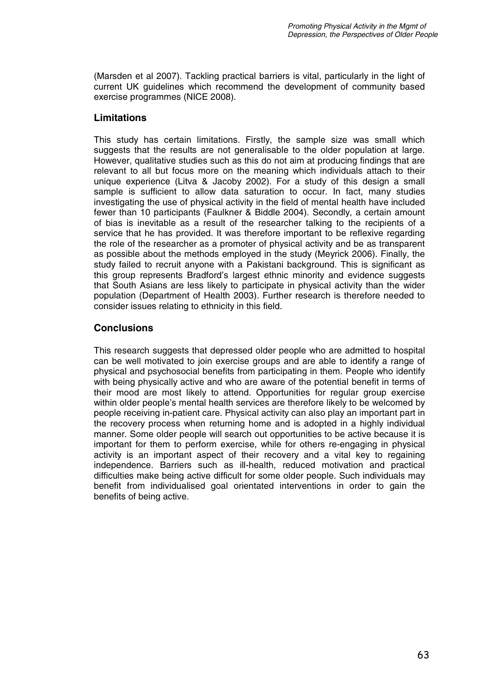(Marsden et al 2007). Tackling practical barriers is vital, particularly in the light of current UK guidelines which recommend the development of community based exercise programmes (NICE 2008).

# **Limitations**

This study has certain limitations. Firstly, the sample size was small which suggests that the results are not generalisable to the older population at large. However, qualitative studies such as this do not aim at producing findings that are relevant to all but focus more on the meaning which individuals attach to their unique experience (Litva & Jacoby 2002). For a study of this design a small sample is sufficient to allow data saturation to occur. In fact, many studies investigating the use of physical activity in the field of mental health have included fewer than 10 participants (Faulkner & Biddle 2004). Secondly, a certain amount of bias is inevitable as a result of the researcher talking to the recipients of a service that he has provided. It was therefore important to be reflexive regarding the role of the researcher as a promoter of physical activity and be as transparent as possible about the methods employed in the study (Meyrick 2006). Finally, the study failed to recruit anyone with a Pakistani background. This is significant as this group represents Bradford's largest ethnic minority and evidence suggests that South Asians are less likely to participate in physical activity than the wider population (Department of Health 2003). Further research is therefore needed to consider issues relating to ethnicity in this field.

# **Conclusions**

This research suggests that depressed older people who are admitted to hospital can be well motivated to join exercise groups and are able to identify a range of physical and psychosocial benefits from participating in them. People who identify with being physically active and who are aware of the potential benefit in terms of their mood are most likely to attend. Opportunities for regular group exercise within older people's mental health services are therefore likely to be welcomed by people receiving in-patient care. Physical activity can also play an important part in the recovery process when returning home and is adopted in a highly individual manner. Some older people will search out opportunities to be active because it is important for them to perform exercise, while for others re-engaging in physical activity is an important aspect of their recovery and a vital key to regaining independence. Barriers such as ill-health, reduced motivation and practical difficulties make being active difficult for some older people. Such individuals may benefit from individualised goal orientated interventions in order to gain the benefits of being active.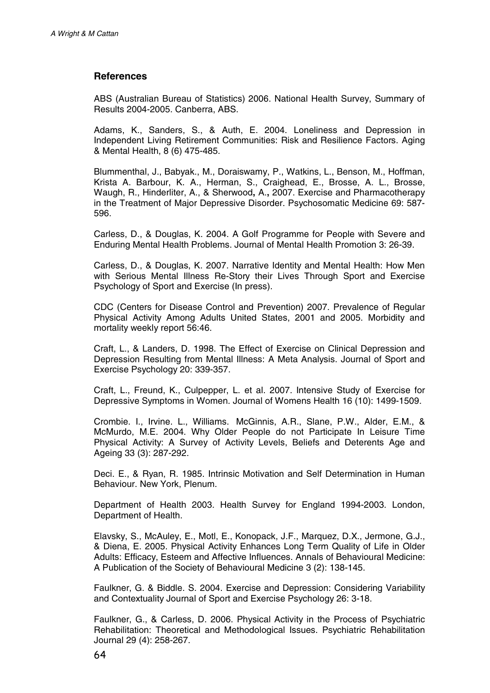### **References**

ABS (Australian Bureau of Statistics) 2006. National Health Survey, Summary of Results 2004-2005. Canberra, ABS.

Adams, K., Sanders, S., & Auth, E. 2004. Loneliness and Depression in Independent Living Retirement Communities: Risk and Resilience Factors. Aging & Mental Health, 8 (6) 475-485.

Blummenthal, J., Babyak., M., Doraiswamy, P., Watkins, L., Benson, M., Hoffman, Krista A. Barbour, K. A., Herman, S., Craighead, E., Brosse, A. L., Brosse, Waugh, R., Hinderliter, A., & Sherwood**,** A.**,** 2007. Exercise and Pharmacotherapy in the Treatment of Major Depressive Disorder. Psychosomatic Medicine 69: 587 596.

Carless, D., & Douglas, K. 2004. A Golf Programme for People with Severe and Enduring Mental Health Problems. Journal of Mental Health Promotion 3: 26-39.

Carless, D., & Douglas, K. 2007. Narrative Identity and Mental Health: How Men with Serious Mental Illness Re-Story their Lives Through Sport and Exercise Psychology of Sport and Exercise (In press).

CDC (Centers for Disease Control and Prevention) 2007. Prevalence of Regular Physical Activity Among Adults United States, 2001 and 2005. Morbidity and mortality weekly report 56:46.

Craft, L., & Landers, D. 1998. The Effect of Exercise on Clinical Depression and Depression Resulting from Mental Illness: A Meta Analysis. Journal of Sport and Exercise Psychology 20: 339-357.

Craft, L., Freund, K., Culpepper, L. et al. 2007. Intensive Study of Exercise for Depressive Symptoms in Women. Journal of Womens Health 16 (10): 1499-1509.

Crombie. I., Irvine. L., Williams. McGinnis, A.R., Slane, P.W., Alder, E.M., & McMurdo, M.E. 2004. Why Older People do not Participate In Leisure Time Physical Activity: A Survey of Activity Levels, Beliefs and Deterents Age and Ageing 33 (3): 287-292.

Deci. E., & Ryan, R. 1985. Intrinsic Motivation and Self Determination in Human Behaviour. New York, Plenum.

Department of Health 2003. Health Survey for England 1994-2003. London, Department of Health.

Elavsky, S., McAuley, E., Motl, E., Konopack, J.F., Marquez, D.X., Jermone, G.J., & Diena, E. 2005. Physical Activity Enhances Long Term Quality of Life in Older Adults: Efficacy, Esteem and Affective Influences. Annals of Behavioural Medicine: A Publication of the Society of Behavioural Medicine 3 (2): 138-145.

Faulkner, G. & Biddle. S. 2004. Exercise and Depression: Considering Variability and Contextuality Journal of Sport and Exercise Psychology 26: 3-18.

Faulkner, G., & Carless, D. 2006. Physical Activity in the Process of Psychiatric Rehabilitation: Theoretical and Methodological Issues. Psychiatric Rehabilitation Journal 29 (4): 258-267.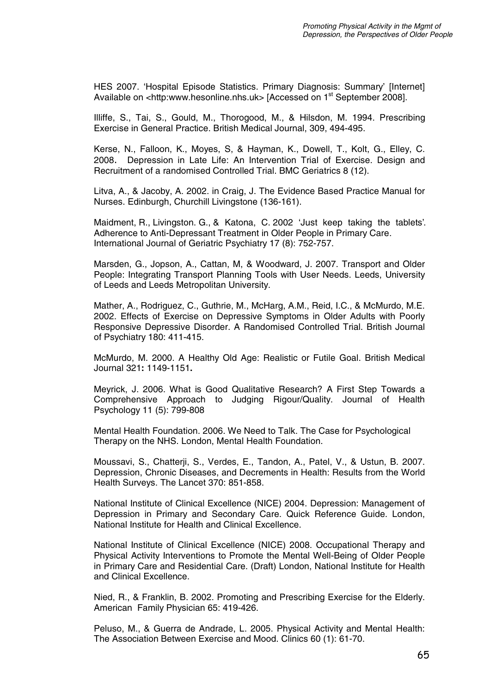HES 2007. 'Hospital Episode Statistics. Primary Diagnosis: Summary' [Internet] Available on <http:www.hesonline.nhs.uk> [Accessed on 1<sup>st</sup> September 2008].

Illiffe, S., Tai, S., Gould, M., Thorogood, M., & Hilsdon, M. 1994. Prescribing Exercise in General Practice. British Medical Journal, 309, 494-495.

Kerse, N., Falloon, K., Moyes, S, & Hayman, K., Dowell, T., Kolt, G., Elley, C. 2008. Depression in Late Life: An Intervention Trial of Exercise. Design and Recruitment of a randomised Controlled Trial. BMC Geriatrics 8 (12).

Litva, A., & Jacoby, A. 2002. in Craig, J. The Evidence Based Practice Manual for Nurses. Edinburgh, Churchill Livingstone (136-161).

 Maidment, R., Livingston. G., & Katona, C. 2002 'Just keep taking the tablets'. Adherence to Anti-Depressant Treatment in Older People in Primary Care. International Journal of Geriatric Psychiatry 17 (8): 752-757.

Marsden, G., Jopson, A., Cattan, M, & Woodward, J. 2007. Transport and Older People: Integrating Transport Planning Tools with User Needs. Leeds, University of Leeds and Leeds Metropolitan University.

Mather, A., Rodriguez, C., Guthrie, M., McHarg, A.M., Reid, I.C., & McMurdo, M.E. 2002. Effects of Exercise on Depressive Symptoms in Older Adults with Poorly Responsive Depressive Disorder. A Randomised Controlled Trial. British Journal of Psychiatry 180: 411-415.

McMurdo, M. 2000. A Healthy Old Age: Realistic or Futile Goal. British Medical Journal 321**:** 1149-1151**.** 

Meyrick, J. 2006. What is Good Qualitative Research? A First Step Towards a Comprehensive Approach to Judging Rigour/Quality. Journal of Health Psychology 11 (5): 799-808

Mental Health Foundation. 2006. We Need to Talk. The Case for Psychological Therapy on the NHS. London, Mental Health Foundation.

Moussavi, S., Chatterji, S., Verdes, E., Tandon, A., Patel, V., & Ustun, B. 2007. Depression, Chronic Diseases, and Decrements in Health: Results from the World Health Surveys. The Lancet 370: 851-858.

National Institute of Clinical Excellence (NICE) 2004. Depression: Management of Depression in Primary and Secondary Care. Quick Reference Guide. London, National Institute for Health and Clinical Excellence.

National Institute of Clinical Excellence (NICE) 2008. Occupational Therapy and Physical Activity Interventions to Promote the Mental Well-Being of Older People in Primary Care and Residential Care. (Draft) London, National Institute for Health and Clinical Excellence.

Nied, R., & Franklin, B. 2002. Promoting and Prescribing Exercise for the Elderly. American Family Physician 65: 419-426.

Peluso, M., & Guerra de Andrade, L. 2005. Physical Activity and Mental Health: The Association Between Exercise and Mood. Clinics 60 (1): 61-70.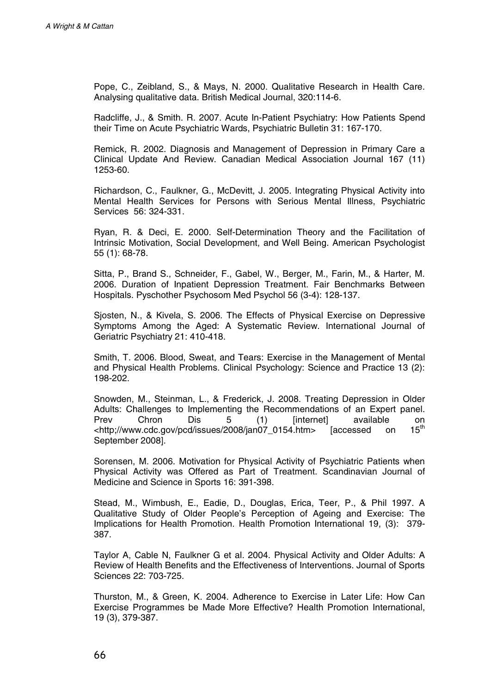Pope, C., Zeibland, S., & Mays, N. 2000. Qualitative Research in Health Care. Analysing qualitative data. British Medical Journal, 320:114-6.

Radcliffe, J., & Smith. R. 2007. Acute In-Patient Psychiatry: How Patients Spend their Time on Acute Psychiatric Wards, Psychiatric Bulletin 31: 167-170.

Remick, R. 2002. Diagnosis and Management of Depression in Primary Care a Clinical Update And Review. Canadian Medical Association Journal 167 (11) 1253-60.

Richardson, C., Faulkner, G., McDevitt, J. 2005. Integrating Physical Activity into Mental Health Services for Persons with Serious Mental Illness, Psychiatric Services 56: 324-331.

Ryan, R. & Deci, E. 2000. Self-Determination Theory and the Facilitation of Intrinsic Motivation, Social Development, and Well Being. American Psychologist 55 (1): 68-78.

Sitta, P., Brand S., Schneider, F., Gabel, W., Berger, M., Farin, M., & Harter, M. 2006. Duration of Inpatient Depression Treatment. Fair Benchmarks Between Hospitals. Pyschother Psychosom Med Psychol 56 (3-4): 128-137.

Sjosten, N., & Kivela, S. 2006. The Effects of Physical Exercise on Depressive Symptoms Among the Aged: A Systematic Review. International Journal of Geriatric Psychiatry 21: 410-418.

Smith, T. 2006. Blood, Sweat, and Tears: Exercise in the Management of Mental and Physical Health Problems. Clinical Psychology: Science and Practice 13 (2): 198-202.

Snowden, M., Steinman, L., & Frederick, J. 2008. Treating Depression in Older Adults: Challenges to Implementing the Recommendations of an Expert panel.<br>Prev Chron Dis 5 (1) linternetl available on Prev Chron Dis 5 (1) [internet] available on <http;//www.cdc.gov/pcd/issues/2008/jan07\_0154.htm> [accessed on 15th September 2008].

Sorensen, M. 2006. Motivation for Physical Activity of Psychiatric Patients when Physical Activity was Offered as Part of Treatment. Scandinavian Journal of Medicine and Science in Sports 16: 391-398.

Stead, M., Wimbush, E., Eadie, D., Douglas, Erica, Teer, P., & Phil 1997. A Qualitative Study of Older People's Perception of Ageing and Exercise: The Implications for Health Promotion. Health Promotion International 19, (3): 379 387.

Taylor A, Cable N, Faulkner G et al. 2004. Physical Activity and Older Adults: A Review of Health Benefits and the Effectiveness of Interventions. Journal of Sports Sciences 22: 703-725.

Thurston, M., & Green, K. 2004. Adherence to Exercise in Later Life: How Can Exercise Programmes be Made More Effective? Health Promotion International, 19 (3), 379-387.